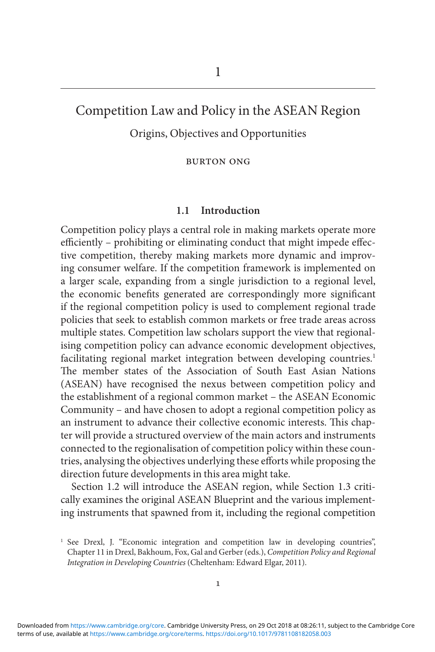# Competition Law and Policy in the ASEAN Region

Origins, Objectives and Opportunities

Burton Ong

## **1.1 Introduction**

Competition policy plays a central role in making markets operate more efficiently – prohibiting or eliminating conduct that might impede effective competition, thereby making markets more dynamic and improving consumer welfare. If the competition framework is implemented on a larger scale, expanding from a single jurisdiction to a regional level, the economic benefits generated are correspondingly more significant if the regional competition policy is used to complement regional trade policies that seek to establish common markets or free trade areas across multiple states. Competition law scholars support the view that regionalising competition policy can advance economic development objectives, facilitating regional market integration between developing countries.<sup>1</sup> The member states of the Association of South East Asian Nations (ASEAN) have recognised the nexus between competition policy and the establishment of a regional common market – the ASEAN Economic Community – and have chosen to adopt a regional competition policy as an instrument to advance their collective economic interests. This chapter will provide a structured overview of the main actors and instruments connected to the regionalisation of competition policy within these countries, analysing the objectives underlying these efforts while proposing the direction future developments in this area might take.

Section 1.2 will introduce the ASEAN region, while Section 1.3 critically examines the original ASEAN Blueprint and the various implementing instruments that spawned from it, including the regional competition

<sup>&</sup>lt;sup>1</sup> See Drexl, J. "Economic integration and competition law in developing countries", Chapter 11 in Drexl, Bakhoum, Fox, Gal and Gerber (eds.), *Competition Policy and Regional Integration in Developing Countries* (Cheltenham: Edward Elgar, 2011).

terms of use, available at [https://www.cambridge.org/core/terms.](https://www.cambridge.org/core/terms) <https://doi.org/10.1017/9781108182058.003> Downloaded from [https://www.cambridge.org/core.](https://www.cambridge.org/core) Cambridge University Press, on 29 Oct 2018 at 08:26:11, subject to the Cambridge Core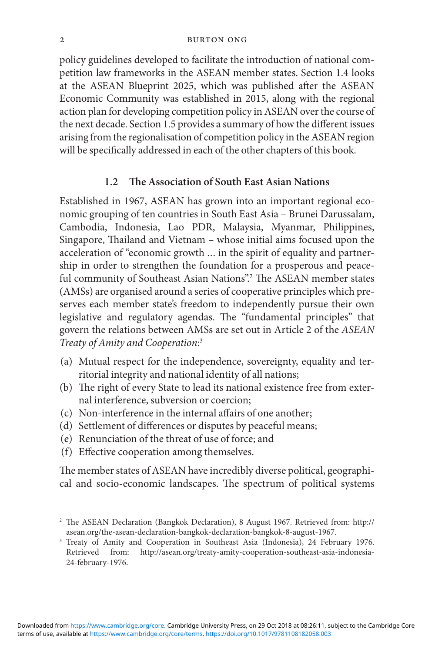#### 2 Burton Ong

policy guidelines developed to facilitate the introduction of national competition law frameworks in the ASEAN member states. Section 1.4 looks at the ASEAN Blueprint 2025, which was published after the ASEAN Economic Community was established in 2015, along with the regional action plan for developing competition policy in ASEAN over the course of the next decade. Section 1.5 provides a summary of how the different issues arising from the regionalisation of competition policy in the ASEAN region will be specifically addressed in each of the other chapters of this book.

## **1.2 The Association of South East Asian Nations**

Established in 1967, ASEAN has grown into an important regional economic grouping of ten countries in South East Asia – Brunei Darussalam, Cambodia, Indonesia, Lao PDR, Malaysia, Myanmar, Philippines, Singapore, Thailand and Vietnam – whose initial aims focused upon the acceleration of "economic growth ... in the spirit of equality and partnership in order to strengthen the foundation for a prosperous and peaceful community of Southeast Asian Nations".<sup>2</sup> The ASEAN member states (AMSs) are organised around a series of cooperative principles which preserves each member state's freedom to independently pursue their own legislative and regulatory agendas. The "fundamental principles" that govern the relations between AMSs are set out in Article 2 of the *ASEAN Treaty of Amity and Cooperation*: 3

- (a) Mutual respect for the independence, sovereignty, equality and territorial integrity and national identity of all nations;
- (b) The right of every State to lead its national existence free from external interference, subversion or coercion;
- (c) Non-interference in the internal affairs of one another;
- (d) Settlement of differences or disputes by peaceful means;
- (e) Renunciation of the threat of use of force; and
- (f) Effective cooperation among themselves.

The member states of ASEAN have incredibly diverse political, geographical and socio-economic landscapes. The spectrum of political systems

<sup>2</sup> The ASEAN Declaration (Bangkok Declaration), 8 August 1967. Retrieved from: http:// asean.org/the-asean-declaration-bangkok-declaration-bangkok-8-august-1967.

<sup>&</sup>lt;sup>3</sup> Treaty of Amity and Cooperation in Southeast Asia (Indonesia), 24 February 1976. Retrieved from: http://asean.org/treaty-amity-cooperation-southeast-asia-indonesia-24-february-1976.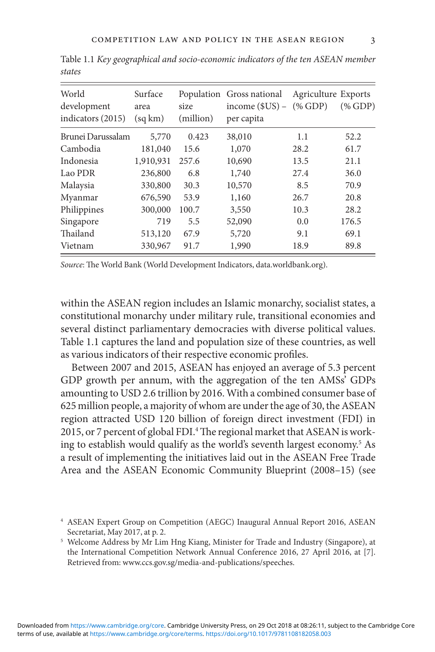| World<br>development<br>indicators (2015) | Surface<br>area<br>(sq km) | size<br>(million) | Population Gross national<br>income $$US$ – $% GDP$<br>per capita | Agriculture Exports | $(\%$ GDP) |
|-------------------------------------------|----------------------------|-------------------|-------------------------------------------------------------------|---------------------|------------|
| Brunei Darussalam                         | 5,770                      | 0.423             | 38,010                                                            | 1.1                 | 52.2       |
| Cambodia                                  | 181,040                    | 15.6              | 1,070                                                             | 28.2                | 61.7       |
| Indonesia                                 | 1,910,931                  | 257.6             | 10,690                                                            | 13.5                | 21.1       |
| Lao PDR                                   | 236,800                    | 6.8               | 1,740                                                             | 27.4                | 36.0       |
| Malaysia                                  | 330,800                    | 30.3              | 10,570                                                            | 8.5                 | 70.9       |
| Myanmar                                   | 676,590                    | 53.9              | 1,160                                                             | 26.7                | 20.8       |
| Philippines                               | 300,000                    | 100.7             | 3,550                                                             | 10.3                | 28.2       |
| Singapore                                 | 719                        | 5.5               | 52,090                                                            | 0.0                 | 176.5      |
| Thailand                                  | 513,120                    | 67.9              | 5,720                                                             | 9.1                 | 69.1       |
| Vietnam                                   | 330,967                    | 91.7              | 1,990                                                             | 18.9                | 89.8       |

Table 1.1 *Key geographical and socio-economic indicators of the ten ASEAN member states*

*Source*: The World Bank (World Development Indicators, data.worldbank.org).

within the ASEAN region includes an Islamic monarchy, socialist states, a constitutional monarchy under military rule, transitional economies and several distinct parliamentary democracies with diverse political values. Table 1.1 captures the land and population size of these countries, as well as various indicators of their respective economic profiles.

Between 2007 and 2015, ASEAN has enjoyed an average of 5.3 percent GDP growth per annum, with the aggregation of the ten AMSs' GDPs amounting to USD 2.6 trillion by 2016. With a combined consumer base of 625 million people, a majority of whom are under the age of 30, the ASEAN region attracted USD 120 billion of foreign direct investment (FDI) in 2015, or 7 percent of global FDI.<sup>4</sup> The regional market that ASEAN is working to establish would qualify as the world's seventh largest economy.<sup>5</sup> As a result of implementing the initiatives laid out in the ASEAN Free Trade Area and the ASEAN Economic Community Blueprint (2008–15) (see

<sup>4</sup> ASEAN Expert Group on Competition (AEGC) Inaugural Annual Report 2016, ASEAN Secretariat, May 2017, at p. 2.

<sup>&</sup>lt;sup>5</sup> Welcome Address by Mr Lim Hng Kiang, Minister for Trade and Industry (Singapore), at the International Competition Network Annual Conference 2016, 27 April 2016, at [7]. Retrieved from: www.ccs.gov.sg/media-and-publications/speeches.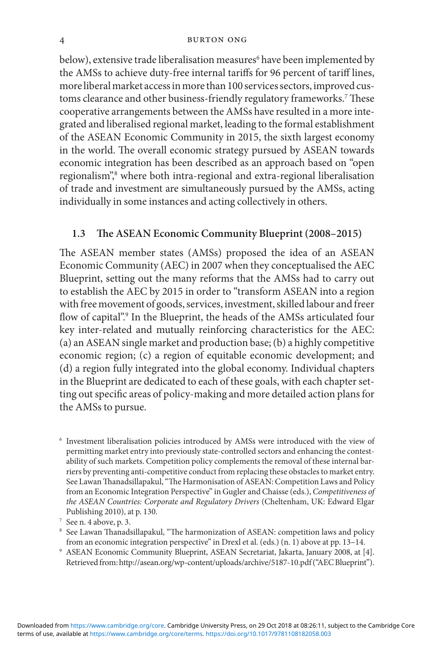#### 4 Burton Ong

below), extensive trade liberalisation measures<sup>6</sup> have been implemented by the AMSs to achieve duty-free internal tariffs for 96 percent of tariff lines, more liberal market access in more than 100 services sectors, improved customs clearance and other business-friendly regulatory frameworks.7 These cooperative arrangements between the AMSs have resulted in a more integrated and liberalised regional market, leading to the formal establishment of the ASEAN Economic Community in 2015, the sixth largest economy in the world. The overall economic strategy pursued by ASEAN towards economic integration has been described as an approach based on "open regionalism",8 where both intra-regional and extra-regional liberalisation of trade and investment are simultaneously pursued by the AMSs, acting individually in some instances and acting collectively in others.

## **1.3 The ASEAN Economic Community Blueprint (2008–2015)**

The ASEAN member states (AMSs) proposed the idea of an ASEAN Economic Community (AEC) in 2007 when they conceptualised the AEC Blueprint, setting out the many reforms that the AMSs had to carry out to establish the AEC by 2015 in order to "transform ASEAN into a region with free movement of goods, services, investment, skilled labour and freer flow of capital".<sup>9</sup> In the Blueprint, the heads of the AMSs articulated four key inter-related and mutually reinforcing characteristics for the AEC: (a) an ASEAN single market and production base; (b) a highly competitive economic region; (c) a region of equitable economic development; and (d) a region fully integrated into the global economy. Individual chapters in the Blueprint are dedicated to each of these goals, with each chapter setting out specific areas of policy-making and more detailed action plans for the AMSs to pursue.

6 Investment liberalisation policies introduced by AMSs were introduced with the view of permitting market entry into previously state-controlled sectors and enhancing the contestability of such markets. Competition policy complements the removal of these internal barriers by preventing anti-competitive conduct from replacing these obstacles to market entry. See Lawan Thanadsillapakul, "The Harmonisation of ASEAN: Competition Laws and Policy from an Economic Integration Perspective" in Gugler and Chaisse (eds.), *Competitiveness of the ASEAN Countries: Corporate and Regulatory Drivers* (Cheltenham, UK: Edward Elgar Publishing 2010), at p. 130.

9 ASEAN Economic Community Blueprint, ASEAN Secretariat, Jakarta, January 2008, at [4]. Retrieved from: http://asean.org/wp-content/uploads/archive/5187-10.pdf ("AEC Blueprint").

<sup>7</sup> See n. 4 above, p. 3.

<sup>8</sup> See Lawan Thanadsillapakul, "The harmonization of ASEAN: competition laws and policy from an economic integration perspective" in Drexl et al. (eds.) (n. 1) above at pp. 13–14.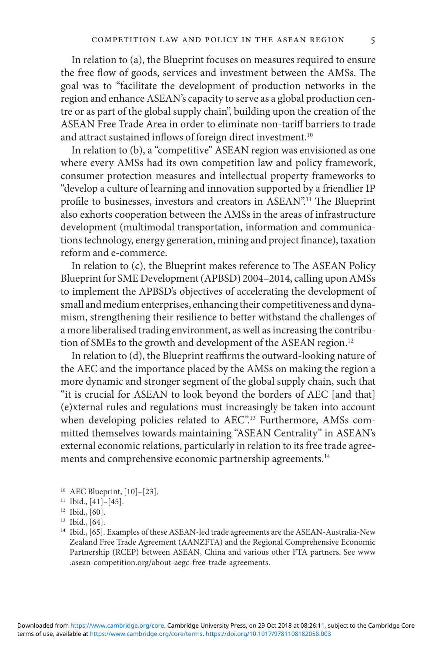In relation to (a), the Blueprint focuses on measures required to ensure the free flow of goods, services and investment between the AMSs. The goal was to "facilitate the development of production networks in the region and enhance ASEAN's capacity to serve as a global production centre or as part of the global supply chain", building upon the creation of the ASEAN Free Trade Area in order to eliminate non-tariff barriers to trade and attract sustained inflows of foreign direct investment.<sup>10</sup>

In relation to (b), a "competitive" ASEAN region was envisioned as one where every AMSs had its own competition law and policy framework, consumer protection measures and intellectual property frameworks to "develop a culture of learning and innovation supported by a friendlier IP profile to businesses, investors and creators in ASEAN".<sup>11</sup> The Blueprint also exhorts cooperation between the AMSs in the areas of infrastructure development (multimodal transportation, information and communications technology, energy generation, mining and project finance), taxation reform and e-commerce.

In relation to (c), the Blueprint makes reference to The ASEAN Policy Blueprint for SME Development (APBSD) 2004–2014, calling upon AMSs to implement the APBSD's objectives of accelerating the development of small and medium enterprises, enhancing their competitiveness and dynamism, strengthening their resilience to better withstand the challenges of a more liberalised trading environment, as well as increasing the contribution of SMEs to the growth and development of the ASEAN region.<sup>12</sup>

In relation to (d), the Blueprint reaffirms the outward-looking nature of the AEC and the importance placed by the AMSs on making the region a more dynamic and stronger segment of the global supply chain, such that "it is crucial for ASEAN to look beyond the borders of AEC [and that] (e)xternal rules and regulations must increasingly be taken into account when developing policies related to AEC".<sup>13</sup> Furthermore, AMSs committed themselves towards maintaining "ASEAN Centrality" in ASEAN's external economic relations, particularly in relation to its free trade agreements and comprehensive economic partnership agreements.<sup>14</sup>

<sup>10</sup> AEC Blueprint, [10]–[23].

<sup>&</sup>lt;sup>11</sup> Ibid., [41]-[45].

 $12$  Ibid., [60].

<sup>13</sup> Ibid., [64].

<sup>&</sup>lt;sup>14</sup> Ibid., [65]. Examples of these ASEAN-led trade agreements are the ASEAN-Australia-New Zealand Free Trade Agreement (AANZFTA) and the Regional Comprehensive Economic Partnership (RCEP) between ASEAN, China and various other FTA partners. See www .asean-competition.org/about-aegc-free-trade-agreements.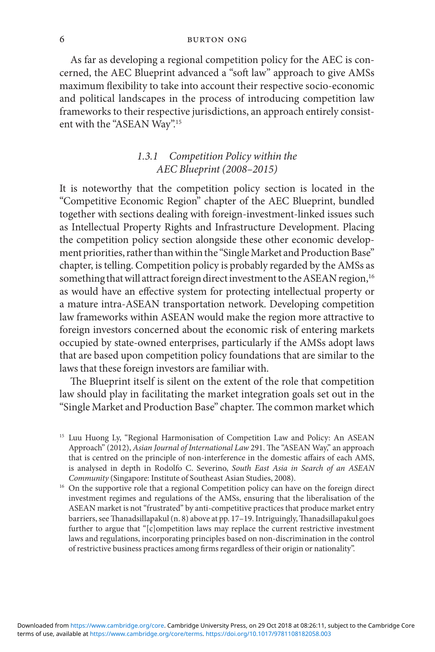As far as developing a regional competition policy for the AEC is concerned, the AEC Blueprint advanced a "soft law" approach to give AMSs maximum flexibility to take into account their respective socio-economic and political landscapes in the process of introducing competition law frameworks to their respective jurisdictions, an approach entirely consistent with the "ASEAN Way".<sup>15</sup>

## *1.3.1 Competition Policy within the AEC Blueprint (2008–2015)*

It is noteworthy that the competition policy section is located in the "Competitive Economic Region" chapter of the AEC Blueprint, bundled together with sections dealing with foreign-investment-linked issues such as Intellectual Property Rights and Infrastructure Development. Placing the competition policy section alongside these other economic development priorities, rather than within the "Single Market and Production Base" chapter, is telling. Competition policy is probably regarded by the AMSs as something that will attract foreign direct investment to the ASEAN region,<sup>16</sup> as would have an effective system for protecting intellectual property or a mature intra-ASEAN transportation network. Developing competition law frameworks within ASEAN would make the region more attractive to foreign investors concerned about the economic risk of entering markets occupied by state-owned enterprises, particularly if the AMSs adopt laws that are based upon competition policy foundations that are similar to the laws that these foreign investors are familiar with.

The Blueprint itself is silent on the extent of the role that competition law should play in facilitating the market integration goals set out in the "Single Market and Production Base" chapter. The common market which

<sup>&</sup>lt;sup>15</sup> Luu Huong Ly, "Regional Harmonisation of Competition Law and Policy: An ASEAN Approach" (2012), *Asian Journal of International Law* 291. The "ASEAN Way," an approach that is centred on the principle of non-interference in the domestic affairs of each AMS, is analysed in depth in Rodolfo C. Severino, *South East Asia in Search of an ASEAN Community* (Singapore: Institute of Southeast Asian Studies, 2008).

<sup>&</sup>lt;sup>16</sup> On the supportive role that a regional Competition policy can have on the foreign direct investment regimes and regulations of the AMSs, ensuring that the liberalisation of the ASEAN market is not "frustrated" by anti-competitive practices that produce market entry barriers, see Thanadsillapakul (n. 8) above at pp. 17–19. Intriguingly, Thanadsillapakul goes further to argue that "[c]ompetition laws may replace the current restrictive investment laws and regulations, incorporating principles based on non-discrimination in the control of restrictive business practices among firms regardless of their origin or nationality".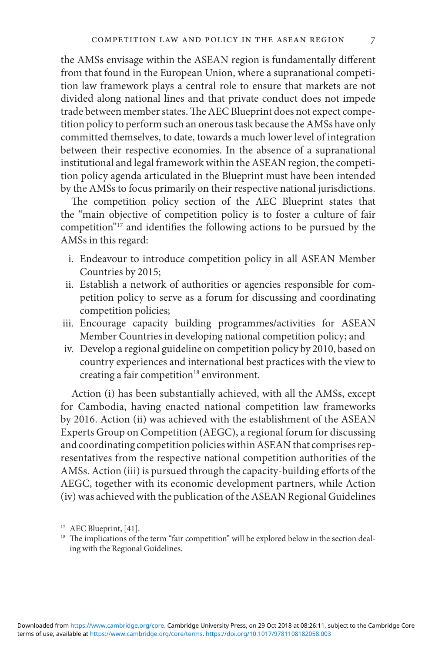the AMSs envisage within the ASEAN region is fundamentally different from that found in the European Union, where a supranational competition law framework plays a central role to ensure that markets are not divided along national lines and that private conduct does not impede trade between member states. The AEC Blueprint does not expect competition policy to perform such an onerous task because the AMSs have only committed themselves, to date, towards a much lower level of integration between their respective economies. In the absence of a supranational institutional and legal framework within the ASEAN region, the competition policy agenda articulated in the Blueprint must have been intended by the AMSs to focus primarily on their respective national jurisdictions.

The competition policy section of the AEC Blueprint states that the "main objective of competition policy is to foster a culture of fair competition"17 and identifies the following actions to be pursued by the AMSs in this regard:

- i. Endeavour to introduce competition policy in all ASEAN Member Countries by 2015;
- ii. Establish a network of authorities or agencies responsible for competition policy to serve as a forum for discussing and coordinating competition policies;
- iii. Encourage capacity building programmes/activities for ASEAN Member Countries in developing national competition policy; and
- iv. Develop a regional guideline on competition policy by 2010, based on country experiences and international best practices with the view to creating a fair competition<sup>18</sup> environment.

Action (i) has been substantially achieved, with all the AMSs, except for Cambodia, having enacted national competition law frameworks by 2016. Action (ii) was achieved with the establishment of the ASEAN Experts Group on Competition (AEGC), a regional forum for discussing and coordinating competition policies within ASEAN that comprises representatives from the respective national competition authorities of the AMSs. Action (iii) is pursued through the capacity-building efforts of the AEGC, together with its economic development partners, while Action (iv) was achieved with the publication of the ASEAN Regional Guidelines

<sup>&</sup>lt;sup>17</sup> AEC Blueprint, [41].

<sup>&</sup>lt;sup>18</sup> The implications of the term "fair competition" will be explored below in the section dealing with the Regional Guidelines.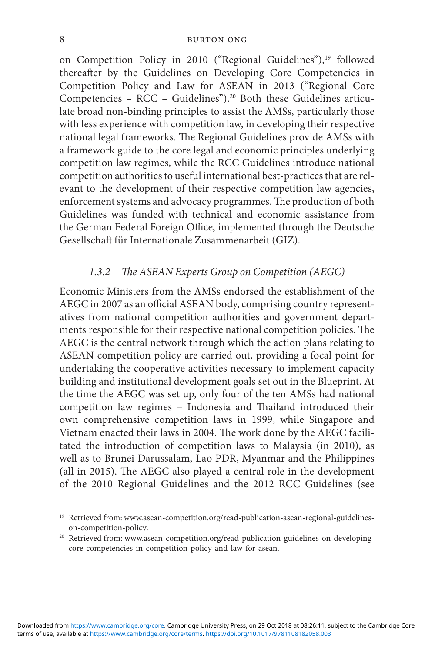on Competition Policy in 2010 ("Regional Guidelines"),<sup>19</sup> followed thereafter by the Guidelines on Developing Core Competencies in Competition Policy and Law for ASEAN in 2013 ("Regional Core Competencies – RCC – Guidelines").20 Both these Guidelines articulate broad non-binding principles to assist the AMSs, particularly those with less experience with competition law, in developing their respective national legal frameworks. The Regional Guidelines provide AMSs with a framework guide to the core legal and economic principles underlying competition law regimes, while the RCC Guidelines introduce national competition authorities to useful international best-practices that are relevant to the development of their respective competition law agencies, enforcement systems and advocacy programmes. The production of both Guidelines was funded with technical and economic assistance from the German Federal Foreign Office, implemented through the Deutsche Gesellschaft für Internationale Zusammenarbeit (GIZ).

## *1.3.2 The ASEAN Experts Group on Competition (AEGC)*

Economic Ministers from the AMSs endorsed the establishment of the AEGC in 2007 as an official ASEAN body, comprising country representatives from national competition authorities and government departments responsible for their respective national competition policies. The AEGC is the central network through which the action plans relating to ASEAN competition policy are carried out, providing a focal point for undertaking the cooperative activities necessary to implement capacity building and institutional development goals set out in the Blueprint. At the time the AEGC was set up, only four of the ten AMSs had national competition law regimes – Indonesia and Thailand introduced their own comprehensive competition laws in 1999, while Singapore and Vietnam enacted their laws in 2004. The work done by the AEGC facilitated the introduction of competition laws to Malaysia (in 2010), as well as to Brunei Darussalam, Lao PDR, Myanmar and the Philippines (all in 2015). The AEGC also played a central role in the development of the 2010 Regional Guidelines and the 2012 RCC Guidelines (see

<sup>&</sup>lt;sup>19</sup> Retrieved from: www.asean-competition.org/read-publication-asean-regional-guidelineson-competition-policy.

<sup>&</sup>lt;sup>20</sup> Retrieved from: www.asean-competition.org/read-publication-guidelines-on-developingcore-competencies-in-competition-policy-and-law-for-asean.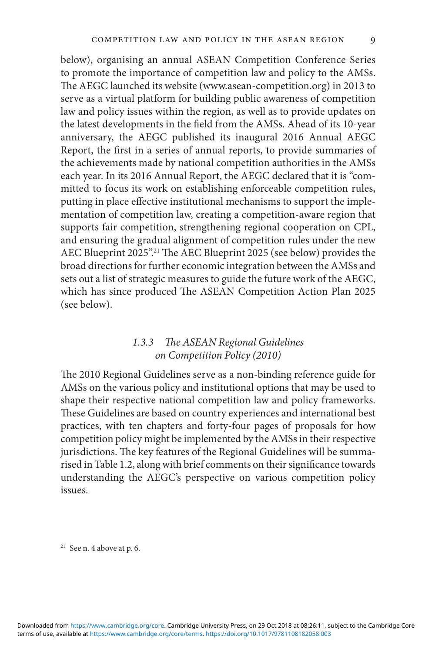below), organising an annual ASEAN Competition Conference Series to promote the importance of competition law and policy to the AMSs. The AEGC launched its website (www.asean-competition.org) in 2013 to serve as a virtual platform for building public awareness of competition law and policy issues within the region, as well as to provide updates on the latest developments in the field from the AMSs. Ahead of its 10-year anniversary, the AEGC published its inaugural 2016 Annual AEGC Report, the first in a series of annual reports, to provide summaries of the achievements made by national competition authorities in the AMSs each year. In its 2016 Annual Report, the AEGC declared that it is "committed to focus its work on establishing enforceable competition rules, putting in place effective institutional mechanisms to support the implementation of competition law, creating a competition-aware region that supports fair competition, strengthening regional cooperation on CPL, and ensuring the gradual alignment of competition rules under the new AEC Blueprint 2025".<sup>21</sup> The AEC Blueprint 2025 (see below) provides the broad directions for further economic integration between the AMSs and sets out a list of strategic measures to guide the future work of the AEGC, which has since produced The ASEAN Competition Action Plan 2025 (see below).

## *1.3.3 The ASEAN Regional Guidelines on Competition Policy (2010)*

The 2010 Regional Guidelines serve as a non-binding reference guide for AMSs on the various policy and institutional options that may be used to shape their respective national competition law and policy frameworks. These Guidelines are based on country experiences and international best practices, with ten chapters and forty-four pages of proposals for how competition policy might be implemented by the AMSs in their respective jurisdictions. The key features of the Regional Guidelines will be summarised in Table 1.2, along with brief comments on their significance towards understanding the AEGC's perspective on various competition policy issues.

 $21$  See n. 4 above at p. 6.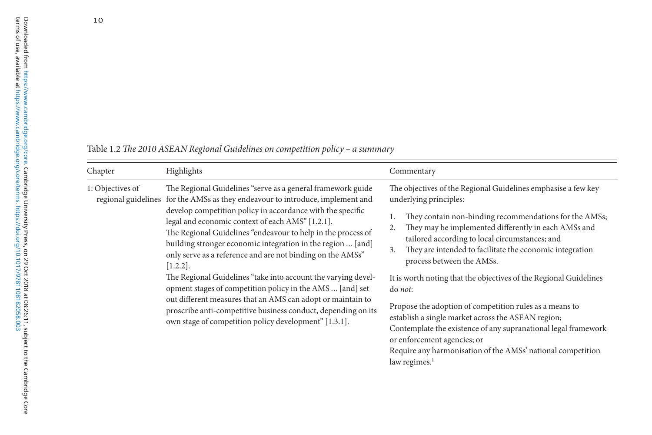| Chapter          | Highlights                                                                                                                                                                                                                                                                                                                                                                                                                                                                                                                                                                                                                                                                                                                                                                                         | Commentary                                                                                                                                                                                                                                                                                                                                                                                                                                                                                                                                                                                                                                                                                                                                                             |
|------------------|----------------------------------------------------------------------------------------------------------------------------------------------------------------------------------------------------------------------------------------------------------------------------------------------------------------------------------------------------------------------------------------------------------------------------------------------------------------------------------------------------------------------------------------------------------------------------------------------------------------------------------------------------------------------------------------------------------------------------------------------------------------------------------------------------|------------------------------------------------------------------------------------------------------------------------------------------------------------------------------------------------------------------------------------------------------------------------------------------------------------------------------------------------------------------------------------------------------------------------------------------------------------------------------------------------------------------------------------------------------------------------------------------------------------------------------------------------------------------------------------------------------------------------------------------------------------------------|
| 1: Objectives of | The Regional Guidelines "serve as a general framework guide<br>regional guidelines for the AMSs as they endeavour to introduce, implement and<br>develop competition policy in accordance with the specific<br>legal and economic context of each AMS" [1.2.1].<br>The Regional Guidelines "endeavour to help in the process of<br>building stronger economic integration in the region  [and]<br>only serve as a reference and are not binding on the AMSs"<br>$[1.2.2]$ .<br>The Regional Guidelines "take into account the varying devel-<br>opment stages of competition policy in the AMS  [and] set<br>out different measures that an AMS can adopt or maintain to<br>proscribe anti-competitive business conduct, depending on its<br>own stage of competition policy development" [1.3.1]. | The objectives of the Regional Guidelines emphasise a few key<br>underlying principles:<br>They contain non-binding recommendations for the AMSs;<br>They may be implemented differently in each AMSs and<br>2.<br>tailored according to local circumstances; and<br>They are intended to facilitate the economic integration<br>3.<br>process between the AMSs.<br>It is worth noting that the objectives of the Regional Guidelines<br>do <i>not</i> :<br>Propose the adoption of competition rules as a means to<br>establish a single market across the ASEAN region;<br>Contemplate the existence of any supranational legal framework<br>or enforcement agencies; or<br>Require any harmonisation of the AMSs' national competition<br>law regimes. <sup>1</sup> |

Table 1.2 *The 2010 ASEAN Regional Guidelines on competition policy – a summary*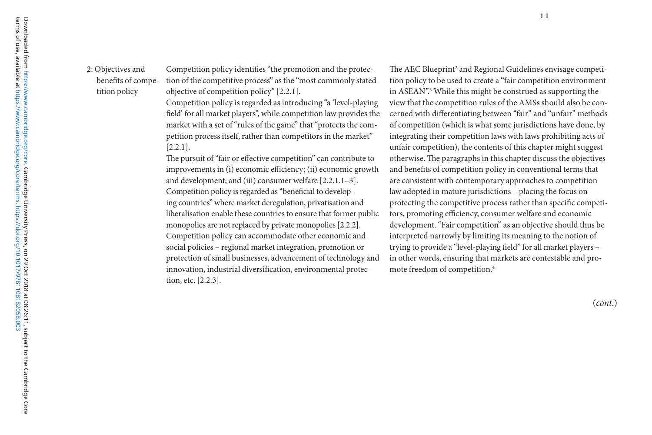2: Objectives and benefits of competition policy

Competition policy identifies "the promotion and the protection of the competitive process" as the "most commonly stated objective of competition policy" [2.2.1]. terms of use, available at <sup>11</sup>

> Competition policy is regarded as introducing "a 'level-playing field' for all market players", while competition law provides the market with a set of "rules of the game" that "protects the competition process itself, rather than competitors in the market" [2.2.1].

> The pursuit of "fair or effective competition" can contribute to improvements in (i) economic efficiency; (ii) economic growth and development; and (iii) consumer welfare [2.2.1.1–3]. Competition policy is regarded as "beneficial to developing countries" where market deregulation, privatisation and liberalisation enable these countries to ensure that former public monopolies are not replaced by private monopolies [2.2.2]. Competition policy can accommodate other economic and social policies – regional market integration, promotion or protection of small businesses, advancement of technology and innovation, industrial diversification, environmental protection, etc. [2.2.3].

The AEC Blueprint<sup>2</sup> and Regional Guidelines envisage competition policy to be used to create a "fair competition environment in ASEAN".3 While this might be construed as supporting the view that the competition rules of the AMSs should also be concerned with differentiating between "fair" and "unfair" methods of competition (which is what some jurisdictions have done, by integrating their competition laws with laws prohibiting acts of unfair competition), the contents of this chapter might suggest otherwise. The paragraphs in this chapter discuss the objectives and benefits of competition policy in conventional terms that are consistent with contemporary approaches to competition law adopted in mature jurisdictions – placing the focus on protecting the competitive process rather than specific competitors, promoting efficiency, consumer welfare and economic development. "Fair competition" as an objective should thus be interpreted narrowly by limiting its meaning to the notion of trying to provide a "level-playing field" for all market players – in other words, ensuring that markets are contestable and promote freedom of competition.4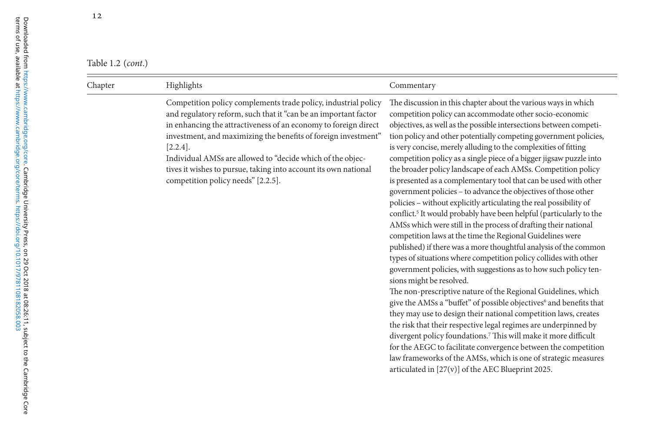| Table 1.2 $(cont.)$ |  |
|---------------------|--|
|---------------------|--|

| Highlights<br>Chapter                                                                                                                                                                                                                                                                                                                                                                                                                                        | Commentary                                                                                                                                                                                                                                                                                                                                                                                                                                                                                                                                                                                                                                                                                                                                                                                                                                                                                                                                                                                                                                                                                                                                                                                                                                                                                                                                                                                                                                                                                                                                                                                                                                                                                                               |
|--------------------------------------------------------------------------------------------------------------------------------------------------------------------------------------------------------------------------------------------------------------------------------------------------------------------------------------------------------------------------------------------------------------------------------------------------------------|--------------------------------------------------------------------------------------------------------------------------------------------------------------------------------------------------------------------------------------------------------------------------------------------------------------------------------------------------------------------------------------------------------------------------------------------------------------------------------------------------------------------------------------------------------------------------------------------------------------------------------------------------------------------------------------------------------------------------------------------------------------------------------------------------------------------------------------------------------------------------------------------------------------------------------------------------------------------------------------------------------------------------------------------------------------------------------------------------------------------------------------------------------------------------------------------------------------------------------------------------------------------------------------------------------------------------------------------------------------------------------------------------------------------------------------------------------------------------------------------------------------------------------------------------------------------------------------------------------------------------------------------------------------------------------------------------------------------------|
| Competition policy complements trade policy, industrial policy<br>and regulatory reform, such that it "can be an important factor<br>in enhancing the attractiveness of an economy to foreign direct<br>investment, and maximizing the benefits of foreign investment"<br>$[2.2.4]$ .<br>Individual AMSs are allowed to "decide which of the objec-<br>tives it wishes to pursue, taking into account its own national<br>competition policy needs" [2.2.5]. | The discussion in this chapter about the various ways in which<br>competition policy can accommodate other socio-economic<br>objectives, as well as the possible intersections between competi-<br>tion policy and other potentially competing government policies,<br>is very concise, merely alluding to the complexities of fitting<br>competition policy as a single piece of a bigger jigsaw puzzle into<br>the broader policy landscape of each AMSs. Competition policy<br>is presented as a complementary tool that can be used with other<br>government policies - to advance the objectives of those other<br>policies - without explicitly articulating the real possibility of<br>conflict. <sup>5</sup> It would probably have been helpful (particularly to the<br>AMSs which were still in the process of drafting their national<br>competition laws at the time the Regional Guidelines were<br>published) if there was a more thoughtful analysis of the common<br>types of situations where competition policy collides with other<br>government policies, with suggestions as to how such policy ten-<br>sions might be resolved.<br>The non-prescriptive nature of the Regional Guidelines, which<br>give the AMSs a "buffet" of possible objectives <sup>6</sup> and benefits that<br>they may use to design their national competition laws, creates<br>the risk that their respective legal regimes are underpinned by<br>divergent policy foundations. <sup>7</sup> This will make it more difficult<br>for the AEGC to facilitate convergence between the competition<br>law frameworks of the AMSs, which is one of strategic measures<br>articulated in $[27(v)]$ of the AEC Blueprint 2025. |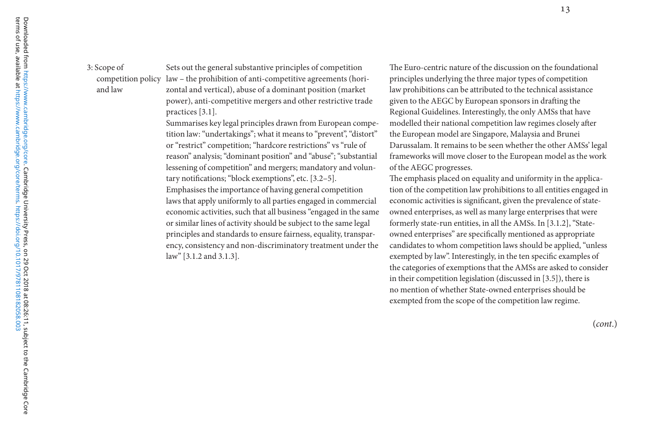3: Scope of and law

competition policy law – the prohibition of anti-competitive agreements (hori-Sets out the general substantive principles of competition zontal and vertical), abuse of a dominant position (market power), anti-competitive mergers and other restrictive trade practices [3.1].

> Summarises key legal principles drawn from European competition law: "undertakings"; what it means to "prevent", "distort" or "restrict" competition; "hardcore restrictions" vs "rule of reason" analysis; "dominant position" and "abuse"; "substantial lessening of competition" and mergers; mandatory and voluntary notifications; "block exemptions", etc. [3.2–5]. Emphasises the importance of having general competition laws that apply uniformly to all parties engaged in commercial economic activities, such that all business "engaged in the same or similar lines of activity should be subject to the same legal principles and standards to ensure fairness, equality, transparency, consistency and non-discriminatory treatment under the law" [3.1.2 and 3.1.3].

The Euro-centric nature of the discussion on the foundational principles underlying the three major types of competition law prohibitions can be attributed to the technical assistance given to the AEGC by European sponsors in drafting the Regional Guidelines. Interestingly, the only AMSs that have modelled their national competition law regimes closely after the European model are Singapore, Malaysia and Brunei Darussalam. It remains to be seen whether the other AMSs' legal frameworks will move closer to the European model as the work of the AEGC progresses.

The emphasis placed on equality and uniformity in the application of the competition law prohibitions to all entities engaged in economic activities is significant, given the prevalence of stateowned enterprises, as well as many large enterprises that were formerly state-run entities, in all the AMSs. In [3.1.2], "Stateowned enterprises" are specifically mentioned as appropriate candidates to whom competition laws should be applied, "unless exempted by law". Interestingly, in the ten specific examples of the categories of exemptions that the AMSs are asked to consider in their competition legislation (discussed in [3.5]), there is no mention of whether State-owned enterprises should be exempted from the scope of the competition law regime.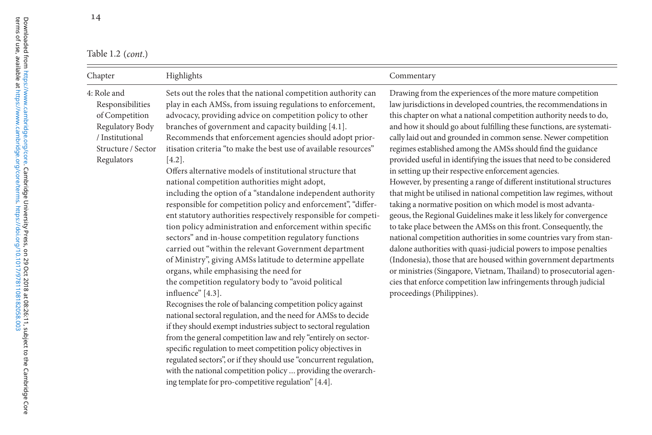Table 1.2 *(cont.)* 

| Chapter                                                                                                                     | Highlights                                                                                                                                                                                                                                                                                                                                                                                                                                                                                                                                                                                                                                                                                                                                                                                                                                                                                                                                                                                                                                                                                                                                                                                                                                                                                                                                                                                                                                                                                                                                                                                                             | Commentary                                                                                                                                                                                                                                                                                                                                                                                                                                                                                                                                                                                                                                                                                                                                                                                                                                                                                                                                                                                                                                                                                                                                                                                                                                                                                     |
|-----------------------------------------------------------------------------------------------------------------------------|------------------------------------------------------------------------------------------------------------------------------------------------------------------------------------------------------------------------------------------------------------------------------------------------------------------------------------------------------------------------------------------------------------------------------------------------------------------------------------------------------------------------------------------------------------------------------------------------------------------------------------------------------------------------------------------------------------------------------------------------------------------------------------------------------------------------------------------------------------------------------------------------------------------------------------------------------------------------------------------------------------------------------------------------------------------------------------------------------------------------------------------------------------------------------------------------------------------------------------------------------------------------------------------------------------------------------------------------------------------------------------------------------------------------------------------------------------------------------------------------------------------------------------------------------------------------------------------------------------------------|------------------------------------------------------------------------------------------------------------------------------------------------------------------------------------------------------------------------------------------------------------------------------------------------------------------------------------------------------------------------------------------------------------------------------------------------------------------------------------------------------------------------------------------------------------------------------------------------------------------------------------------------------------------------------------------------------------------------------------------------------------------------------------------------------------------------------------------------------------------------------------------------------------------------------------------------------------------------------------------------------------------------------------------------------------------------------------------------------------------------------------------------------------------------------------------------------------------------------------------------------------------------------------------------|
| 4: Role and<br>Responsibilities<br>of Competition<br>Regulatory Body<br>/ Institutional<br>Structure / Sector<br>Regulators | Sets out the roles that the national competition authority can<br>play in each AMSs, from issuing regulations to enforcement,<br>advocacy, providing advice on competition policy to other<br>branches of government and capacity building [4.1].<br>Recommends that enforcement agencies should adopt prior-<br>itisation criteria "to make the best use of available resources"<br>$[4.2]$ .<br>Offers alternative models of institutional structure that<br>national competition authorities might adopt,<br>including the option of a "standalone independent authority<br>responsible for competition policy and enforcement", "differ-<br>ent statutory authorities respectively responsible for competi-<br>tion policy administration and enforcement within specific<br>sectors" and in-house competition regulatory functions<br>carried out "within the relevant Government department<br>of Ministry", giving AMSs latitude to determine appellate<br>organs, while emphasising the need for<br>the competition regulatory body to "avoid political<br>influence" [4.3].<br>Recognises the role of balancing competition policy against<br>national sectoral regulation, and the need for AMSs to decide<br>if they should exempt industries subject to sectoral regulation<br>from the general competition law and rely "entirely on sector-<br>specific regulation to meet competition policy objectives in<br>regulated sectors", or if they should use "concurrent regulation,<br>with the national competition policy  providing the overarch-<br>ing template for pro-competitive regulation" [4.4]. | Drawing from the experiences of the more mature competition<br>law jurisdictions in developed countries, the recommendations in<br>this chapter on what a national competition authority needs to do,<br>and how it should go about fulfilling these functions, are systemati-<br>cally laid out and grounded in common sense. Newer competition<br>regimes established among the AMSs should find the guidance<br>provided useful in identifying the issues that need to be considered<br>in setting up their respective enforcement agencies.<br>However, by presenting a range of different institutional structures<br>that might be utilised in national competition law regimes, without<br>taking a normative position on which model is most advanta-<br>geous, the Regional Guidelines make it less likely for convergence<br>to take place between the AMSs on this front. Consequently, the<br>national competition authorities in some countries vary from stan-<br>dalone authorities with quasi-judicial powers to impose penalties<br>(Indonesia), those that are housed within government departments<br>or ministries (Singapore, Vietnam, Thailand) to prosecutorial agen-<br>cies that enforce competition law infringements through judicial<br>proceedings (Philippines). |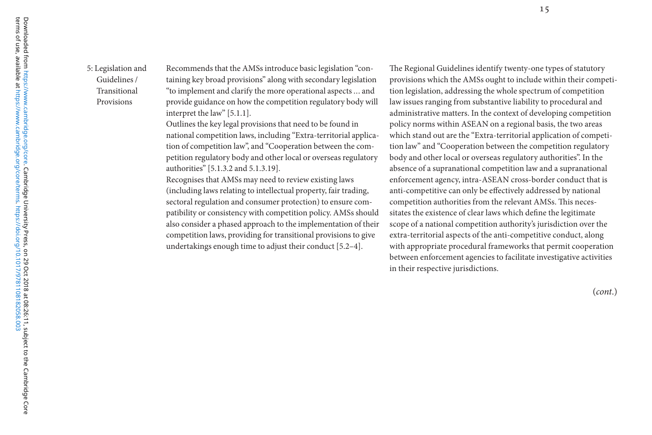5: Legislation and Guidelines / Transitional Provisions

Recommends that the AMSs introduce basic legislation "containing key broad provisions" along with secondary legislation "to implement and clarify the more operational aspects ... and provide guidance on how the competition regulatory body will interpret the law" [5.1.1].

Outlines the key legal provisions that need to be found in national competition laws, including "Extra-territorial application of competition law", and "Cooperation between the competition regulatory body and other local or overseas regulatory authorities" [5.1.3.2 and 5.1.3.19].

Recognises that AMSs may need to review existing laws (including laws relating to intellectual property, fair trading, sectoral regulation and consumer protection) to ensure compatibility or consistency with competition policy. AMSs should also consider a phased approach to the implementation of their competition laws, providing for transitional provisions to give undertakings enough time to adjust their conduct [5.2–4].

The Regional Guidelines identify twenty-one types of statutory provisions which the AMSs ought to include within their competition legislation, addressing the whole spectrum of competition law issues ranging from substantive liability to procedural and administrative matters. In the context of developing competition policy norms within ASEAN on a regional basis, the two areas which stand out are the "Extra-territorial application of competition law" and "Cooperation between the competition regulatory body and other local or overseas regulatory authorities". In the absence of a supranational competition law and a supranational enforcement agency, intra-ASEAN cross-border conduct that is anti-competitive can only be effectively addressed by national competition authorities from the relevant AMSs. This necessitates the existence of clear laws which define the legitimate scope of a national competition authority's jurisdiction over the extra-territorial aspects of the anti-competitive conduct, along with appropriate procedural frameworks that permit cooperation between enforcement agencies to facilitate investigative activities in their respective jurisdictions.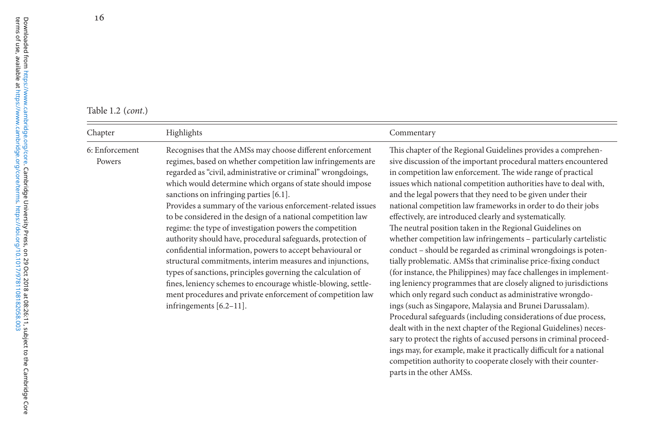| Table 1.2 ( <i>cont</i> .) |  |
|----------------------------|--|
|----------------------------|--|

| Chapter                  | Highlights                                                                                                                                                                                                                                                                                                                                                                                                                                                                                                                                                                                                                                                                                                                                                                                                                                                                                                       | Commentary                                                                                                                                                                                                                                                                                                                                                                                                                                                                                                                                                                                                                                                                                                                                                                                                                                                                                                                                                                                                                                                                                                                                                                                                                                                                                                                                                                                |
|--------------------------|------------------------------------------------------------------------------------------------------------------------------------------------------------------------------------------------------------------------------------------------------------------------------------------------------------------------------------------------------------------------------------------------------------------------------------------------------------------------------------------------------------------------------------------------------------------------------------------------------------------------------------------------------------------------------------------------------------------------------------------------------------------------------------------------------------------------------------------------------------------------------------------------------------------|-------------------------------------------------------------------------------------------------------------------------------------------------------------------------------------------------------------------------------------------------------------------------------------------------------------------------------------------------------------------------------------------------------------------------------------------------------------------------------------------------------------------------------------------------------------------------------------------------------------------------------------------------------------------------------------------------------------------------------------------------------------------------------------------------------------------------------------------------------------------------------------------------------------------------------------------------------------------------------------------------------------------------------------------------------------------------------------------------------------------------------------------------------------------------------------------------------------------------------------------------------------------------------------------------------------------------------------------------------------------------------------------|
| 6: Enforcement<br>Powers | Recognises that the AMSs may choose different enforcement<br>regimes, based on whether competition law infringements are<br>regarded as "civil, administrative or criminal" wrongdoings,<br>which would determine which organs of state should impose<br>sanctions on infringing parties [6.1].<br>Provides a summary of the various enforcement-related issues<br>to be considered in the design of a national competition law<br>regime: the type of investigation powers the competition<br>authority should have, procedural safeguards, protection of<br>confidential information, powers to accept behavioural or<br>structural commitments, interim measures and injunctions,<br>types of sanctions, principles governing the calculation of<br>fines, leniency schemes to encourage whistle-blowing, settle-<br>ment procedures and private enforcement of competition law<br>infringements $[6.2-11]$ . | This chapter of the Regional Guidelines provides a comprehen-<br>sive discussion of the important procedural matters encountered<br>in competition law enforcement. The wide range of practical<br>issues which national competition authorities have to deal with,<br>and the legal powers that they need to be given under their<br>national competition law frameworks in order to do their jobs<br>effectively, are introduced clearly and systematically.<br>The neutral position taken in the Regional Guidelines on<br>whether competition law infringements - particularly cartelistic<br>conduct - should be regarded as criminal wrongdoings is poten-<br>tially problematic. AMSs that criminalise price-fixing conduct<br>(for instance, the Philippines) may face challenges in implement-<br>ing leniency programmes that are closely aligned to jurisdictions<br>which only regard such conduct as administrative wrongdo-<br>ings (such as Singapore, Malaysia and Brunei Darussalam).<br>Procedural safeguards (including considerations of due process,<br>dealt with in the next chapter of the Regional Guidelines) neces-<br>sary to protect the rights of accused persons in criminal proceed-<br>ings may, for example, make it practically difficult for a national<br>competition authority to cooperate closely with their counter-<br>parts in the other AMSs. |

16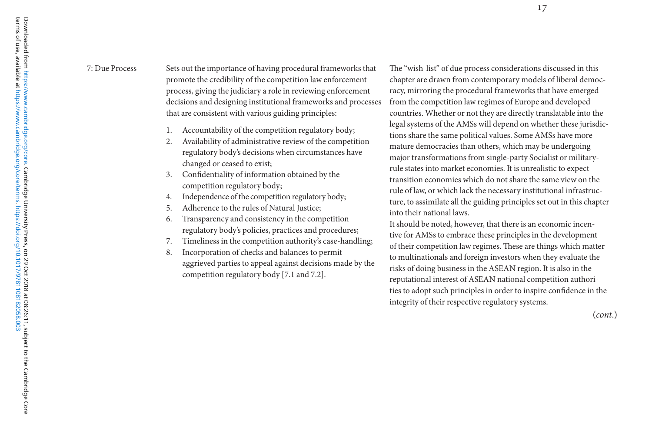7: Due Process Sets out the importance of having procedural frameworks that promote the credibility of the competition law enforcement process, giving the judiciary a role in reviewing enforcement decisions and designing institutional frameworks and processes that are consistent with various guiding principles:

- 1.Accountability of the competition regulatory body;
- 2. Availability of administrative review of the competition regulatory body's decisions when circumstances have changed or ceased to exist;
- 3. Confidentiality of information obtained by the competition regulatory body;
- 4.Independence of the competition regulatory body;
- 5.Adherence to the rules of Natural Justice:
- 6. Transparency and consistency in the competition regulatory body's policies, practices and procedures;
- 7.Timeliness in the competition authority's case-handling;
- 8. Incorporation of checks and balances to permit aggrieved parties to appeal against decisions made by the competition regulatory body [7.1 and 7.2].

The "wish-list" of due process considerations discussed in this chapter are drawn from contemporary models of liberal democracy, mirroring the procedural frameworks that have emerged from the competition law regimes of Europe and developed countries. Whether or not they are directly translatable into the legal systems of the AMSs will depend on whether these jurisdictions share the same political values. Some AMSs have more mature democracies than others, which may be undergoing major transformations from single-party Socialist or militaryrule states into market economies. It is unrealistic to expect transition economies which do not share the same view on the rule of law, or which lack the necessary institutional infrastructure, to assimilate all the guiding principles set out in this chapter into their national laws.

It should be noted, however, that there is an economic incentive for AMSs to embrace these principles in the development of their competition law regimes. These are things which matter to multinationals and foreign investors when they evaluate the risks of doing business in the ASEAN region. It is also in the reputational interest of ASEAN national competition authorities to adopt such principles in order to inspire confidence in the integrity of their respective regulatory systems.

(*cont*.)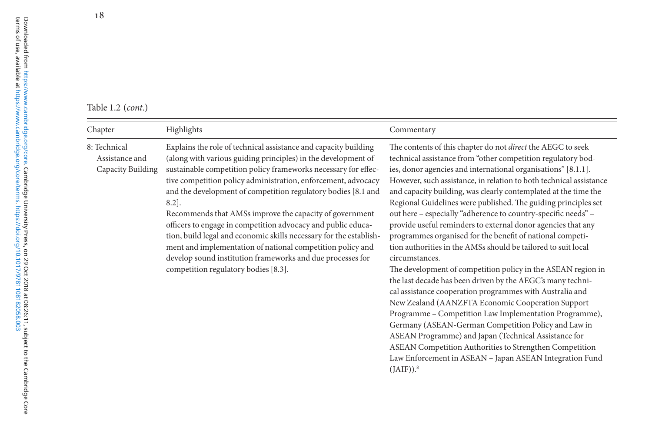terms of use, available at [https://www.cambridge.org/core/terms.](https://www.cambridge.org/core/terms) <https://doi.org/10.1017/9781108182058.003>

## Table 1.2 *(cont.)* and *a summary*  $\alpha$  *n* competition points on competition points on competition points on competition points on competition points on competition points on competition points on competition points on c

| Chapter                                             | Highlights                                                                                                                                                                                                                                                                                                                                                                                                                                                                                                                                                                                                                                                                                                            | Commentary                                                                                                                                                                                                                                                                                                                                                                                                                                                                                                                                                                                                                                                                                                                                                                                                                                                                                                                                                                                                                                                                                                                                                                                                                                                         |
|-----------------------------------------------------|-----------------------------------------------------------------------------------------------------------------------------------------------------------------------------------------------------------------------------------------------------------------------------------------------------------------------------------------------------------------------------------------------------------------------------------------------------------------------------------------------------------------------------------------------------------------------------------------------------------------------------------------------------------------------------------------------------------------------|--------------------------------------------------------------------------------------------------------------------------------------------------------------------------------------------------------------------------------------------------------------------------------------------------------------------------------------------------------------------------------------------------------------------------------------------------------------------------------------------------------------------------------------------------------------------------------------------------------------------------------------------------------------------------------------------------------------------------------------------------------------------------------------------------------------------------------------------------------------------------------------------------------------------------------------------------------------------------------------------------------------------------------------------------------------------------------------------------------------------------------------------------------------------------------------------------------------------------------------------------------------------|
| 8: Technical<br>Assistance and<br>Capacity Building | Explains the role of technical assistance and capacity building<br>(along with various guiding principles) in the development of<br>sustainable competition policy frameworks necessary for effec-<br>tive competition policy administration, enforcement, advocacy<br>and the development of competition regulatory bodies [8.1 and<br>$8.2$ ].<br>Recommends that AMSs improve the capacity of government<br>officers to engage in competition advocacy and public educa-<br>tion, build legal and economic skills necessary for the establish-<br>ment and implementation of national competition policy and<br>develop sound institution frameworks and due processes for<br>competition regulatory bodies [8.3]. | The contents of this chapter do not direct the AEGC to seek<br>technical assistance from "other competition regulatory bod-<br>ies, donor agencies and international organisations" [8.1.1].<br>However, such assistance, in relation to both technical assistance<br>and capacity building, was clearly contemplated at the time the<br>Regional Guidelines were published. The guiding principles set<br>out here - especially "adherence to country-specific needs" -<br>provide useful reminders to external donor agencies that any<br>programmes organised for the benefit of national competi-<br>tion authorities in the AMSs should be tailored to suit local<br>circumstances.<br>The development of competition policy in the ASEAN region in<br>the last decade has been driven by the AEGC's many techni-<br>cal assistance cooperation programmes with Australia and<br>New Zealand (AANZFTA Economic Cooperation Support<br>Programme - Competition Law Implementation Programme),<br>Germany (ASEAN-German Competition Policy and Law in<br>ASEAN Programme) and Japan (Technical Assistance for<br>ASEAN Competition Authorities to Strengthen Competition<br>Law Enforcement in ASEAN - Japan ASEAN Integration Fund<br>$(JAIF)$ ). <sup>8</sup> |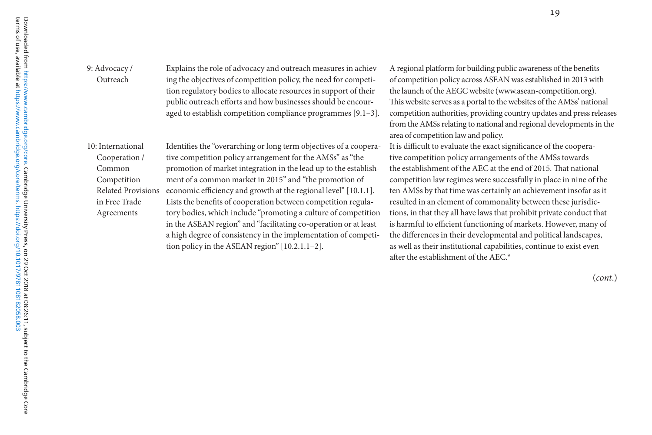#### 9: Advocacy / Outreach

Explains the role of advocacy and outreach measures in achieving the objectives of competition policy, the need for competition regulatory bodies to allocate resources in support of their public outreach efforts and how businesses should be encouraged to establish competition compliance programmes [9.1–3].

10: International Cooperation / Common Competition in Free Trade Agreements

Related Provisions economic efficiency and growth at the regional level" [10.1.1]. Identifies the "overarching or long term objectives of a cooperative competition policy arrangement for the AMSs" as "the promotion of market integration in the lead up to the establishment of a common market in 2015" and "the promotion of Lists the benefits of cooperation between competition regulatory bodies, which include "promoting a culture of competition in the ASEAN region" and "facilitating co-operation or at least a high degree of consistency in the implementation of competition policy in the ASEAN region" [10.2.1.1–2].

A regional platform for building public awareness of the benefits of competition policy across ASEAN was established in 2013 with the launch of the AEGC website (www.asean-competition.org). This website serves as a portal to the websites of the AMSs' national competition authorities, providing country updates and press releases from the AMSs relating to national and regional developments in the area of competition law and policy.

It is difficult to evaluate the exact significance of the cooperative competition policy arrangements of the AMSs towards the establishment of the AEC at the end of 2015. That national competition law regimes were successfully in place in nine of the ten AMSs by that time was certainly an achievement insofar as it resulted in an element of commonality between these jurisdictions, in that they all have laws that prohibit private conduct that is harmful to efficient functioning of markets. However, many of the differences in their developmental and political landscapes, as well as their institutional capabilities, continue to exist even after the establishment of the AEC.<sup>9</sup>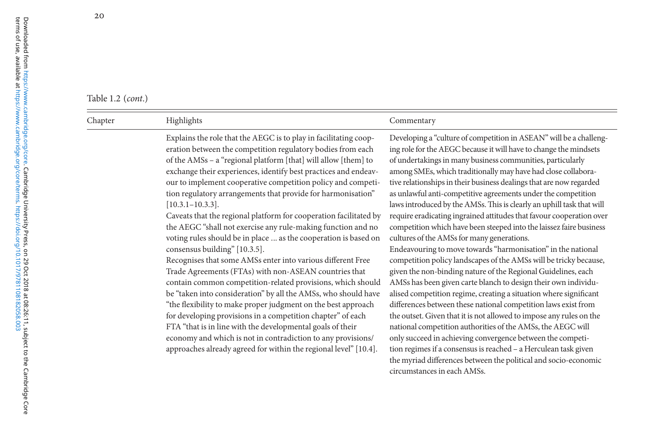#### Table 1.2 *(cont.)* and *a summary*  $\alpha$  *n* competition points on competition points on competition points on competition points on competition points on competition points on competition points on competition points on c

| Chapter | Highlights                                                                                                                                                                                                                                                                                                                                                                                                                                                                                                                                                                                                                                                                                                                                                                                                                                                                                                                                                                                                                                                                                                                                                                                                                                                        | Commentary                                                                                                                                                                                                                                                                                                                                                                                                                                                                                                                                                                                                                                                                                                                                                                                                                                                                                                                                                                                                                                                                                                                                                                                                                                                                                                                                                                                                                                                                   |
|---------|-------------------------------------------------------------------------------------------------------------------------------------------------------------------------------------------------------------------------------------------------------------------------------------------------------------------------------------------------------------------------------------------------------------------------------------------------------------------------------------------------------------------------------------------------------------------------------------------------------------------------------------------------------------------------------------------------------------------------------------------------------------------------------------------------------------------------------------------------------------------------------------------------------------------------------------------------------------------------------------------------------------------------------------------------------------------------------------------------------------------------------------------------------------------------------------------------------------------------------------------------------------------|------------------------------------------------------------------------------------------------------------------------------------------------------------------------------------------------------------------------------------------------------------------------------------------------------------------------------------------------------------------------------------------------------------------------------------------------------------------------------------------------------------------------------------------------------------------------------------------------------------------------------------------------------------------------------------------------------------------------------------------------------------------------------------------------------------------------------------------------------------------------------------------------------------------------------------------------------------------------------------------------------------------------------------------------------------------------------------------------------------------------------------------------------------------------------------------------------------------------------------------------------------------------------------------------------------------------------------------------------------------------------------------------------------------------------------------------------------------------------|
|         | Explains the role that the AEGC is to play in facilitating coop-<br>eration between the competition regulatory bodies from each<br>of the AMSs - a "regional platform [that] will allow [them] to<br>exchange their experiences, identify best practices and endeav-<br>our to implement cooperative competition policy and competi-<br>tion regulatory arrangements that provide for harmonisation"<br>$[10.3.1 - 10.3.3]$ .<br>Caveats that the regional platform for cooperation facilitated by<br>the AEGC "shall not exercise any rule-making function and no<br>voting rules should be in place  as the cooperation is based on<br>consensus building" [10.3.5].<br>Recognises that some AMSs enter into various different Free<br>Trade Agreements (FTAs) with non-ASEAN countries that<br>contain common competition-related provisions, which should<br>be "taken into consideration" by all the AMSs, who should have<br>"the flexibility to make proper judgment on the best approach<br>for developing provisions in a competition chapter" of each<br>FTA "that is in line with the developmental goals of their<br>economy and which is not in contradiction to any provisions/<br>approaches already agreed for within the regional level" [10.4]. | Developing a "culture of competition in ASEAN" will be a challeng-<br>ing role for the AEGC because it will have to change the mindsets<br>of undertakings in many business communities, particularly<br>among SMEs, which traditionally may have had close collabora-<br>tive relationships in their business dealings that are now regarded<br>as unlawful anti-competitive agreements under the competition<br>laws introduced by the AMSs. This is clearly an uphill task that will<br>require eradicating ingrained attitudes that favour cooperation over<br>competition which have been steeped into the laissez faire business<br>cultures of the AMSs for many generations.<br>Endeavouring to move towards "harmonisation" in the national<br>competition policy landscapes of the AMSs will be tricky because,<br>given the non-binding nature of the Regional Guidelines, each<br>AMSs has been given carte blanch to design their own individu-<br>alised competition regime, creating a situation where significant<br>differences between these national competition laws exist from<br>the outset. Given that it is not allowed to impose any rules on the<br>national competition authorities of the AMSs, the AEGC will<br>only succeed in achieving convergence between the competi-<br>tion regimes if a consensus is reached - a Herculean task given<br>the myriad differences between the political and socio-economic<br>circumstances in each AMSs. |
|         |                                                                                                                                                                                                                                                                                                                                                                                                                                                                                                                                                                                                                                                                                                                                                                                                                                                                                                                                                                                                                                                                                                                                                                                                                                                                   |                                                                                                                                                                                                                                                                                                                                                                                                                                                                                                                                                                                                                                                                                                                                                                                                                                                                                                                                                                                                                                                                                                                                                                                                                                                                                                                                                                                                                                                                              |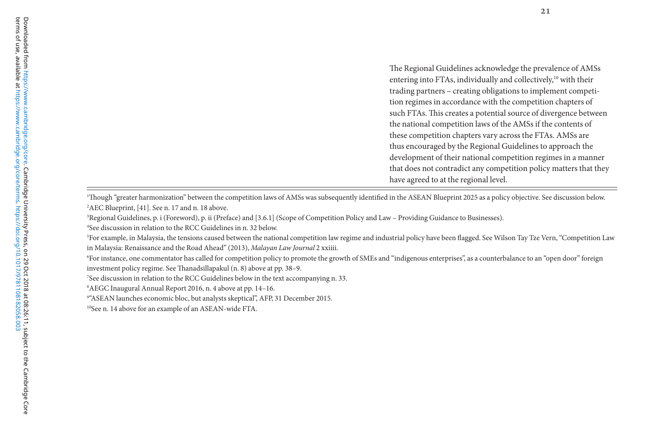The Regional Guidelines acknowledge the prevalence of AMSs entering into FTAs, individually and collectively, $10$  with their trading partners – creating obligations to implement competition regimes in accordance with the competition chapters of such FTAs. This creates a potential source of divergence between the national competition laws of the AMSs if the contents of these competition chapters vary across the FTAs. AMSs are thus encouraged by the Regional Guidelines to approach the development of their national competition regimes in a manner that does not contradict any competition policy matters that they have agreed to at the regional level.

1Though "greater harmonization" between the competition laws of AMSs was subsequently identified in the ASEAN Blueprint 2025 as a policy objective. See discussion below. 2AEC Blueprint, [41]. See n. 17 and n. 18 above.

<sup>3</sup>Regional Guidelines, p. i (Foreword), p. ii (Preface) and [3.6.1] (Scope of Competition Policy and Law – Providing Guidance to Businesses).

<sup>4</sup>See discussion in relation to the RCC Guidelines in n. 32 below.

<sup>5</sup>For example, in Malaysia, the tensions caused between the national competition law regime and industrial policy have been flagged. See Wilson Tay Tze Vern, "Competition Law in Malaysia: Renaissance and the Road Ahead" (2013), *Malayan Law Journal* 2 xxiiii.

<sup>6</sup>For instance, one commentator has called for competition policy to promote the growth of SMEs and "indigenous enterprises", as a counterbalance to an "open door" foreign investment policy regime. See Thanadsillapakul (n. 8) above at pp. 38–9.

<sup>7</sup>See discussion in relation to the RCC Guidelines below in the text accompanying n. 33.

<sup>8</sup>AEGC Inaugural Annual Report 2016, n. 4 above at pp. 14–16.

<sup>9&</sup>quot;ASEAN launches economic bloc, but analysts skeptical", AFP, 31 December 2015.

<sup>10</sup>See n. 14 above for an example of an ASEAN-wide FTA.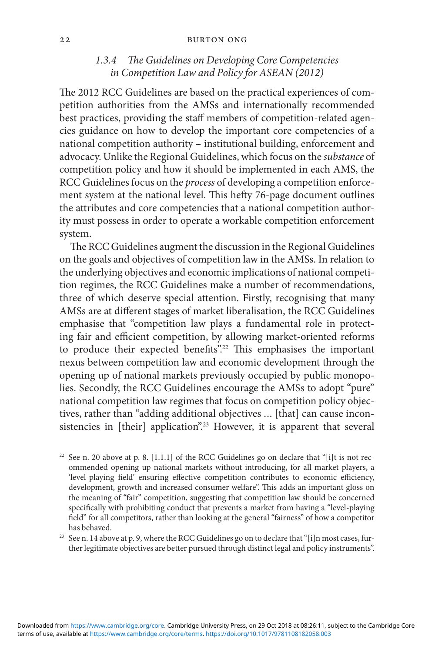#### 22 Burton Ong

## *1.3.4 The Guidelines on Developing Core Competencies in Competition Law and Policy for ASEAN (2012)*

The 2012 RCC Guidelines are based on the practical experiences of competition authorities from the AMSs and internationally recommended best practices, providing the staff members of competition-related agencies guidance on how to develop the important core competencies of a national competition authority – institutional building, enforcement and advocacy. Unlike the Regional Guidelines, which focus on the *substance* of competition policy and how it should be implemented in each AMS, the RCC Guidelines focus on the *process* of developing a competition enforcement system at the national level. This hefty 76-page document outlines the attributes and core competencies that a national competition authority must possess in order to operate a workable competition enforcement system.

The RCC Guidelines augment the discussion in the Regional Guidelines on the goals and objectives of competition law in the AMSs. In relation to the underlying objectives and economic implications of national competition regimes, the RCC Guidelines make a number of recommendations, three of which deserve special attention. Firstly, recognising that many AMSs are at different stages of market liberalisation, the RCC Guidelines emphasise that "competition law plays a fundamental role in protecting fair and efficient competition, by allowing market-oriented reforms to produce their expected benefits".22 This emphasises the important nexus between competition law and economic development through the opening up of national markets previously occupied by public monopolies. Secondly, the RCC Guidelines encourage the AMSs to adopt "pure" national competition law regimes that focus on competition policy objectives, rather than "adding additional objectives ... [that] can cause inconsistencies in [their] application".<sup>23</sup> However, it is apparent that several

- $22$  See n. 20 above at p. 8. [1.1.1] of the RCC Guidelines go on declare that "[i]t is not recommended opening up national markets without introducing, for all market players, a 'level-playing field' ensuring effective competition contributes to economic efficiency, development, growth and increased consumer welfare". This adds an important gloss on the meaning of "fair" competition, suggesting that competition law should be concerned specifically with prohibiting conduct that prevents a market from having a "level-playing field" for all competitors, rather than looking at the general "fairness" of how a competitor has behaved.
- <sup>23</sup> See n. 14 above at p. 9, where the RCC Guidelines go on to declare that "[i]n most cases, further legitimate objectives are better pursued through distinct legal and policy instruments".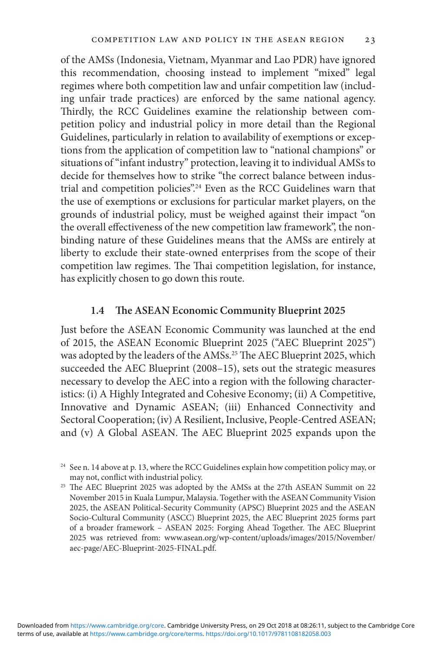of the AMSs (Indonesia, Vietnam, Myanmar and Lao PDR) have ignored this recommendation, choosing instead to implement "mixed" legal regimes where both competition law and unfair competition law (including unfair trade practices) are enforced by the same national agency. Thirdly, the RCC Guidelines examine the relationship between competition policy and industrial policy in more detail than the Regional Guidelines, particularly in relation to availability of exemptions or exceptions from the application of competition law to "national champions" or situations of "infant industry" protection, leaving it to individual AMSs to decide for themselves how to strike "the correct balance between industrial and competition policies".<sup>24</sup> Even as the RCC Guidelines warn that the use of exemptions or exclusions for particular market players, on the grounds of industrial policy, must be weighed against their impact "on the overall effectiveness of the new competition law framework", the nonbinding nature of these Guidelines means that the AMSs are entirely at liberty to exclude their state-owned enterprises from the scope of their competition law regimes. The Thai competition legislation, for instance, has explicitly chosen to go down this route.

## **1.4 The ASEAN Economic Community Blueprint 2025**

Just before the ASEAN Economic Community was launched at the end of 2015, the ASEAN Economic Blueprint 2025 ("AEC Blueprint 2025") was adopted by the leaders of the AMSs.<sup>25</sup> The AEC Blueprint 2025, which succeeded the AEC Blueprint (2008–15), sets out the strategic measures necessary to develop the AEC into a region with the following characteristics: (i) A Highly Integrated and Cohesive Economy; (ii) A Competitive, Innovative and Dynamic ASEAN; (iii) Enhanced Connectivity and Sectoral Cooperation; (iv) A Resilient, Inclusive, People-Centred ASEAN; and (v) A Global ASEAN. The AEC Blueprint 2025 expands upon the

<sup>&</sup>lt;sup>24</sup> See n. 14 above at p. 13, where the RCC Guidelines explain how competition policy may, or may not, conflict with industrial policy.

<sup>&</sup>lt;sup>25</sup> The AEC Blueprint 2025 was adopted by the AMSs at the 27th ASEAN Summit on 22 November 2015 in Kuala Lumpur, Malaysia. Together with the ASEAN Community Vision 2025, the ASEAN Political-Security Community (APSC) Blueprint 2025 and the ASEAN Socio-Cultural Community (ASCC) Blueprint 2025, the AEC Blueprint 2025 forms part of a broader framework – ASEAN 2025: Forging Ahead Together. The AEC Blueprint 2025 was retrieved from: www.asean.org/wp-content/uploads/images/2015/November/ aec-page/AEC-Blueprint-2025-FINAL.pdf.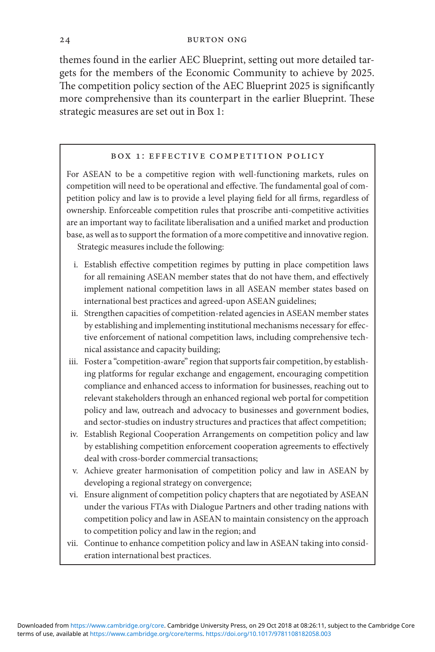themes found in the earlier AEC Blueprint, setting out more detailed targets for the members of the Economic Community to achieve by 2025. The competition policy section of the AEC Blueprint 2025 is significantly more comprehensive than its counterpart in the earlier Blueprint. These strategic measures are set out in Box 1:

### Box 1: Effective Competition Policy

For ASEAN to be a competitive region with well-functioning markets, rules on competition will need to be operational and effective. The fundamental goal of competition policy and law is to provide a level playing field for all firms, regardless of ownership. Enforceable competition rules that proscribe anti-competitive activities are an important way to facilitate liberalisation and a unified market and production base, as well as to support the formation of a more competitive and innovative region. Strategic measures include the following:

- i. Establish effective competition regimes by putting in place competition laws for all remaining ASEAN member states that do not have them, and effectively implement national competition laws in all ASEAN member states based on international best practices and agreed-upon ASEAN guidelines;
- ii. Strengthen capacities of competition-related agencies in ASEAN member states by establishing and implementing institutional mechanisms necessary for effective enforcement of national competition laws, including comprehensive technical assistance and capacity building;
- iii. Foster a "competition-aware" region that supports fair competition, by establishing platforms for regular exchange and engagement, encouraging competition compliance and enhanced access to information for businesses, reaching out to relevant stakeholders through an enhanced regional web portal for competition policy and law, outreach and advocacy to businesses and government bodies, and sector-studies on industry structures and practices that affect competition;
- iv. Establish Regional Cooperation Arrangements on competition policy and law by establishing competition enforcement cooperation agreements to effectively deal with cross-border commercial transactions;
- v. Achieve greater harmonisation of competition policy and law in ASEAN by developing a regional strategy on convergence;
- vi. Ensure alignment of competition policy chapters that are negotiated by ASEAN under the various FTAs with Dialogue Partners and other trading nations with competition policy and law in ASEAN to maintain consistency on the approach to competition policy and law in the region; and
- vii. Continue to enhance competition policy and law in ASEAN taking into consideration international best practices.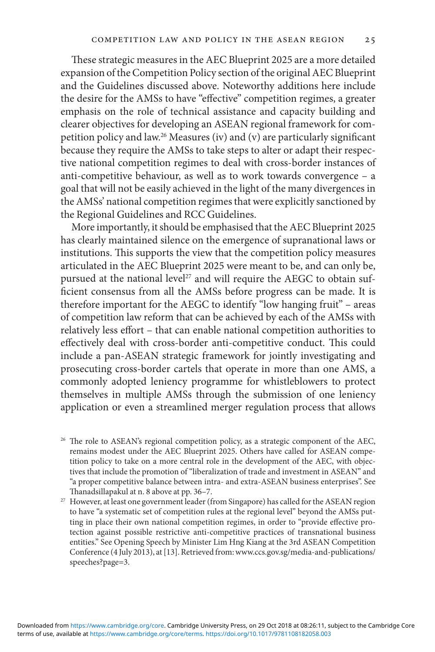These strategic measures in the AEC Blueprint 2025 are a more detailed expansion of the Competition Policy section of the original AEC Blueprint and the Guidelines discussed above. Noteworthy additions here include the desire for the AMSs to have "effective" competition regimes, a greater emphasis on the role of technical assistance and capacity building and clearer objectives for developing an ASEAN regional framework for competition policy and law.26 Measures (iv) and (v) are particularly significant because they require the AMSs to take steps to alter or adapt their respective national competition regimes to deal with cross-border instances of anti-competitive behaviour, as well as to work towards convergence – a goal that will not be easily achieved in the light of the many divergences in the AMSs' national competition regimes that were explicitly sanctioned by the Regional Guidelines and RCC Guidelines.

More importantly, it should be emphasised that the AEC Blueprint 2025 has clearly maintained silence on the emergence of supranational laws or institutions. This supports the view that the competition policy measures articulated in the AEC Blueprint 2025 were meant to be, and can only be, pursued at the national level<sup>27</sup> and will require the AEGC to obtain sufficient consensus from all the AMSs before progress can be made. It is therefore important for the AEGC to identify "low hanging fruit" – areas of competition law reform that can be achieved by each of the AMSs with relatively less effort – that can enable national competition authorities to effectively deal with cross-border anti-competitive conduct. This could include a pan-ASEAN strategic framework for jointly investigating and prosecuting cross-border cartels that operate in more than one AMS, a commonly adopted leniency programme for whistleblowers to protect themselves in multiple AMSs through the submission of one leniency application or even a streamlined merger regulation process that allows

- <sup>26</sup> The role to ASEAN's regional competition policy, as a strategic component of the AEC, remains modest under the AEC Blueprint 2025. Others have called for ASEAN competition policy to take on a more central role in the development of the AEC, with objectives that include the promotion of "liberalization of trade and investment in ASEAN" and "a proper competitive balance between intra- and extra-ASEAN business enterprises". See Thanadsillapakul at n. 8 above at pp. 36–7.
- <sup>27</sup> However, at least one government leader (from Singapore) has called for the ASEAN region to have "a systematic set of competition rules at the regional level" beyond the AMSs putting in place their own national competition regimes, in order to "provide effective protection against possible restrictive anti-competitive practices of transnational business entities." See Opening Speech by Minister Lim Hng Kiang at the 3rd ASEAN Competition Conference (4 July 2013), at [13]. Retrieved from: www.ccs.gov.sg/media-and-publications/ speeches?page=3.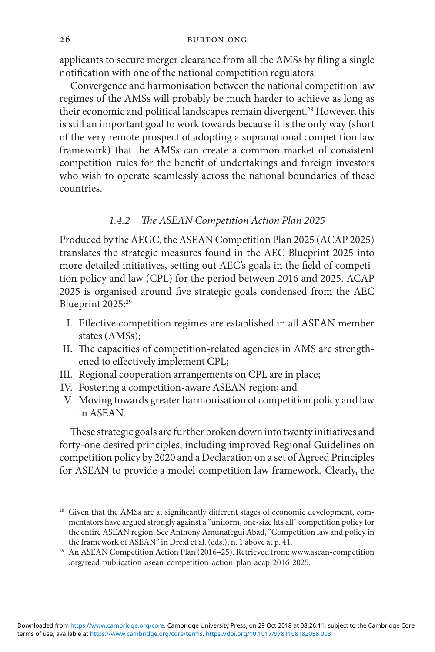applicants to secure merger clearance from all the AMSs by filing a single notification with one of the national competition regulators.

Convergence and harmonisation between the national competition law regimes of the AMSs will probably be much harder to achieve as long as their economic and political landscapes remain divergent.<sup>28</sup> However, this is still an important goal to work towards because it is the only way (short of the very remote prospect of adopting a supranational competition law framework) that the AMSs can create a common market of consistent competition rules for the benefit of undertakings and foreign investors who wish to operate seamlessly across the national boundaries of these countries.

## *1.4.2 The ASEAN Competition Action Plan 2025*

Produced by the AEGC, the ASEAN Competition Plan 2025 (ACAP 2025) translates the strategic measures found in the AEC Blueprint 2025 into more detailed initiatives, setting out AEC's goals in the field of competition policy and law (CPL) for the period between 2016 and 2025. ACAP 2025 is organised around five strategic goals condensed from the AEC Blueprint 2025:<sup>29</sup>

- I. Effective competition regimes are established in all ASEAN member states (AMSs);
- II. The capacities of competition-related agencies in AMS are strengthened to effectively implement CPL;
- III. Regional cooperation arrangements on CPL are in place;
- IV. Fostering a competition-aware ASEAN region; and
- V. Moving towards greater harmonisation of competition policy and law in ASEAN.

These strategic goals are further broken down into twenty initiatives and forty-one desired principles, including improved Regional Guidelines on competition policy by 2020 and a Declaration on a set of Agreed Principles for ASEAN to provide a model competition law framework. Clearly, the

<sup>&</sup>lt;sup>28</sup> Given that the AMSs are at significantly different stages of economic development, commentators have argued strongly against a "uniform, one-size fits all" competition policy for the entire ASEAN region. See Anthony Amunategui Abad, "Competition law and policy in the framework of ASEAN" in Drexl et al. (eds.), n. 1 above at p. 41.

<sup>29</sup> An ASEAN Competition Action Plan (2016–25). Retrieved from: www.asean-competition .org/read-publication-asean-competition-action-plan-acap-2016-2025.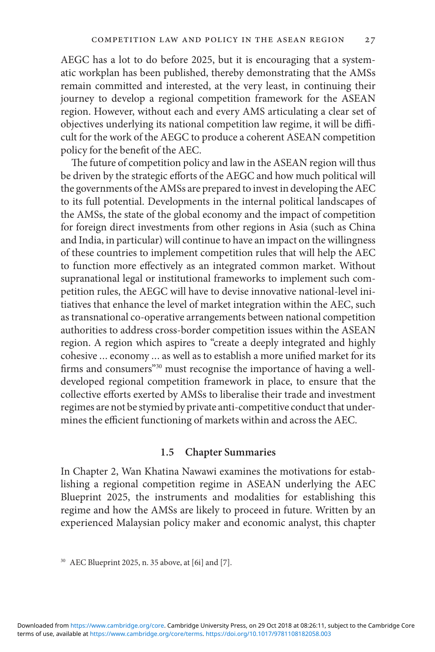AEGC has a lot to do before 2025, but it is encouraging that a systematic workplan has been published, thereby demonstrating that the AMSs remain committed and interested, at the very least, in continuing their journey to develop a regional competition framework for the ASEAN region. However, without each and every AMS articulating a clear set of objectives underlying its national competition law regime, it will be difficult for the work of the AEGC to produce a coherent ASEAN competition policy for the benefit of the AEC.

The future of competition policy and law in the ASEAN region will thus be driven by the strategic efforts of the AEGC and how much political will the governments of the AMSs are prepared to invest in developing the AEC to its full potential. Developments in the internal political landscapes of the AMSs, the state of the global economy and the impact of competition for foreign direct investments from other regions in Asia (such as China and India, in particular) will continue to have an impact on the willingness of these countries to implement competition rules that will help the AEC to function more effectively as an integrated common market. Without supranational legal or institutional frameworks to implement such competition rules, the AEGC will have to devise innovative national-level initiatives that enhance the level of market integration within the AEC, such as transnational co-operative arrangements between national competition authorities to address cross-border competition issues within the ASEAN region. A region which aspires to "create a deeply integrated and highly cohesive ... economy ... as well as to establish a more unified market for its firms and consumers"<sup>30</sup> must recognise the importance of having a welldeveloped regional competition framework in place, to ensure that the collective efforts exerted by AMSs to liberalise their trade and investment regimes are not be stymied by private anti-competitive conduct that undermines the efficient functioning of markets within and across the AEC.

## **1.5 Chapter Summaries**

In Chapter 2, Wan Khatina Nawawi examines the motivations for establishing a regional competition regime in ASEAN underlying the AEC Blueprint 2025, the instruments and modalities for establishing this regime and how the AMSs are likely to proceed in future. Written by an experienced Malaysian policy maker and economic analyst, this chapter

<sup>30</sup> AEC Blueprint 2025, n. 35 above, at [6i] and [7].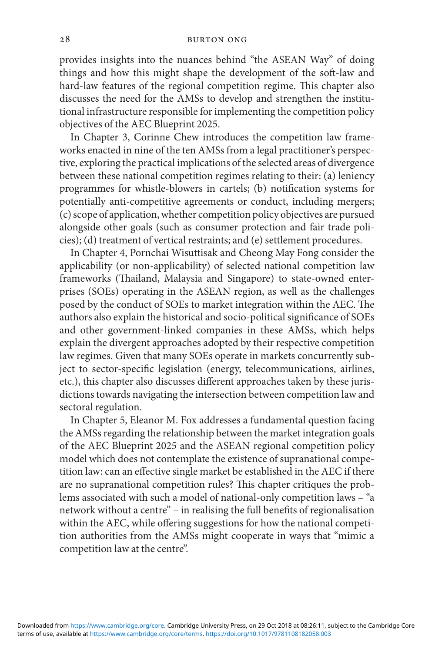#### 28 Burton Ong

provides insights into the nuances behind "the ASEAN Way" of doing things and how this might shape the development of the soft-law and hard-law features of the regional competition regime. This chapter also discusses the need for the AMSs to develop and strengthen the institutional infrastructure responsible for implementing the competition policy objectives of the AEC Blueprint 2025.

In Chapter 3, Corinne Chew introduces the competition law frameworks enacted in nine of the ten AMSs from a legal practitioner's perspective, exploring the practical implications of the selected areas of divergence between these national competition regimes relating to their: (a) leniency programmes for whistle-blowers in cartels; (b) notification systems for potentially anti-competitive agreements or conduct, including mergers; (c) scope of application, whether competition policy objectives are pursued alongside other goals (such as consumer protection and fair trade policies); (d) treatment of vertical restraints; and (e) settlement procedures.

In Chapter 4, Pornchai Wisuttisak and Cheong May Fong consider the applicability (or non-applicability) of selected national competition law frameworks (Thailand, Malaysia and Singapore) to state-owned enterprises (SOEs) operating in the ASEAN region, as well as the challenges posed by the conduct of SOEs to market integration within the AEC. The authors also explain the historical and socio-political significance of SOEs and other government-linked companies in these AMSs, which helps explain the divergent approaches adopted by their respective competition law regimes. Given that many SOEs operate in markets concurrently subject to sector-specific legislation (energy, telecommunications, airlines, etc.), this chapter also discusses different approaches taken by these jurisdictions towards navigating the intersection between competition law and sectoral regulation.

In Chapter 5, Eleanor M. Fox addresses a fundamental question facing the AMSs regarding the relationship between the market integration goals of the AEC Blueprint 2025 and the ASEAN regional competition policy model which does not contemplate the existence of supranational competition law: can an effective single market be established in the AEC if there are no supranational competition rules? This chapter critiques the problems associated with such a model of national-only competition laws – "a network without a centre" – in realising the full benefits of regionalisation within the AEC, while offering suggestions for how the national competition authorities from the AMSs might cooperate in ways that "mimic a competition law at the centre".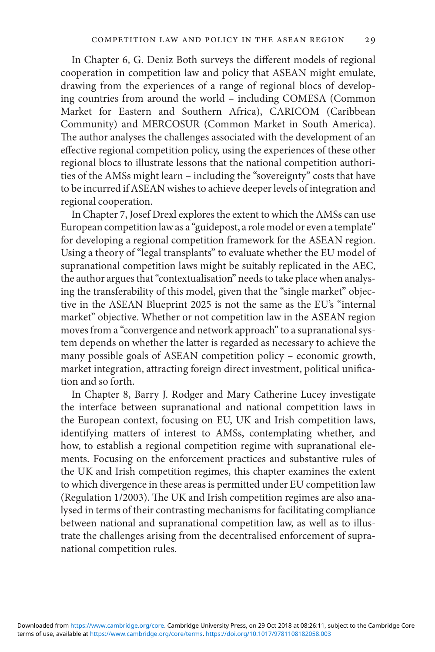In Chapter 6, G. Deniz Both surveys the different models of regional cooperation in competition law and policy that ASEAN might emulate, drawing from the experiences of a range of regional blocs of developing countries from around the world – including COMESA (Common Market for Eastern and Southern Africa), CARICOM (Caribbean Community) and MERCOSUR (Common Market in South America). The author analyses the challenges associated with the development of an effective regional competition policy, using the experiences of these other regional blocs to illustrate lessons that the national competition authorities of the AMSs might learn – including the "sovereignty" costs that have to be incurred if ASEAN wishes to achieve deeper levels of integration and regional cooperation.

In Chapter 7, Josef Drexl explores the extent to which the AMSs can use European competition law as a "guidepost, a role model or even a template" for developing a regional competition framework for the ASEAN region. Using a theory of "legal transplants" to evaluate whether the EU model of supranational competition laws might be suitably replicated in the AEC, the author argues that "contextualisation" needs to take place when analysing the transferability of this model, given that the "single market" objective in the ASEAN Blueprint 2025 is not the same as the EU's "internal market" objective. Whether or not competition law in the ASEAN region moves from a "convergence and network approach" to a supranational system depends on whether the latter is regarded as necessary to achieve the many possible goals of ASEAN competition policy – economic growth, market integration, attracting foreign direct investment, political unification and so forth.

In Chapter 8, Barry J. Rodger and Mary Catherine Lucey investigate the interface between supranational and national competition laws in the European context, focusing on EU, UK and Irish competition laws, identifying matters of interest to AMSs, contemplating whether, and how, to establish a regional competition regime with supranational elements. Focusing on the enforcement practices and substantive rules of the UK and Irish competition regimes, this chapter examines the extent to which divergence in these areas is permitted under EU competition law (Regulation 1/2003). The UK and Irish competition regimes are also analysed in terms of their contrasting mechanisms for facilitating compliance between national and supranational competition law, as well as to illustrate the challenges arising from the decentralised enforcement of supranational competition rules.